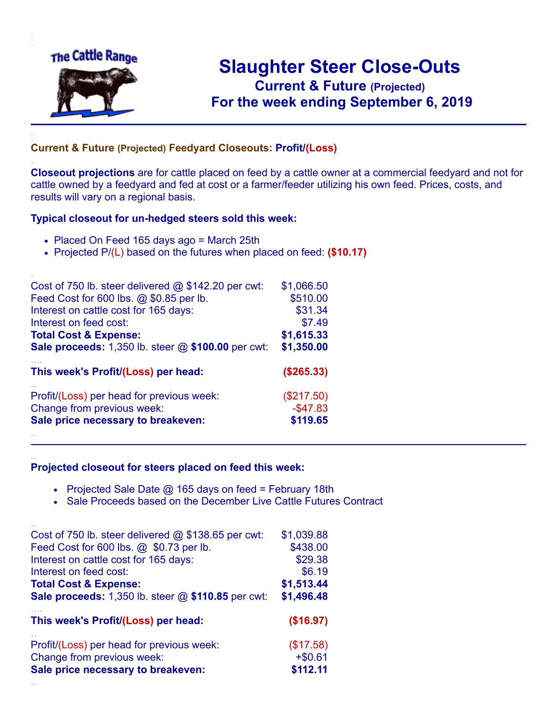

.

..

# **Slaughter Steer Close-Outs Current & Future (Projected)** .**For the week ending September 6, 2019**

#### **Current & Future (Projected) Feedyard Closeouts: Profit/(Loss)**

**Closeout projections** are for cattle placed on feed by a cattle owner at a commercial feedyard and not for cattle owned by a feedyard and fed at cost or a farmer/feeder utilizing his own feed. Prices, costs, and results will vary on a regional basis.

#### **Typical closeout for un-hedged steers sold this week:**

- Placed On Feed 165 days ago = March 25th
- Projected P/(L) based on the futures when placed on feed: **(\$10.17)**

| Cost of 750 lb. steer delivered $@$ \$142.20 per cwt:       | \$1,066.50  |
|-------------------------------------------------------------|-------------|
| Feed Cost for 600 lbs. @ \$0.85 per lb.                     | \$510.00    |
| Interest on cattle cost for 165 days:                       | \$31.34     |
| Interest on feed cost:                                      | \$7.49      |
| <b>Total Cost &amp; Expense:</b>                            | \$1,615.33  |
| <b>Sale proceeds:</b> 1,350 lb. steer $@$ \$100.00 per cwt: | \$1,350.00  |
| This week's Profit/(Loss) per head:                         | (\$265.33)  |
| Profit/(Loss) per head for previous week:                   | (\$217.50)  |
| Change from previous week:                                  | $-$ \$47.83 |
| Sale price necessary to breakeven:                          | \$119.65    |
|                                                             |             |

#### **Projected closeout for steers placed on feed this week:**

- Projected Sale Date  $@$  165 days on feed = February 18th
- Sale Proceeds based on the December Live Cattle Futures Contract

| Profit/(Loss) per head for previous week:                 | (\$17.58)  |
|-----------------------------------------------------------|------------|
| Change from previous week:                                | $+ $0.61$  |
| Sale price necessary to breakeven:                        | \$112.11   |
| This week's Profit/(Loss) per head:                       | (\$16.97)  |
| <b>Total Cost &amp; Expense:</b>                          | \$1,513.44 |
| <b>Sale proceeds:</b> 1,350 lb. steer @ \$110.85 per cwt: | \$1,496.48 |
| Feed Cost for 600 lbs. @ \$0.73 per lb.                   | \$438.00   |
| Interest on cattle cost for 165 days:                     | \$29.38    |
| Interest on feed cost:                                    | \$6.19     |
| Cost of 750 lb. steer delivered $@$ \$138.65 per cwt:     | \$1,039.88 |